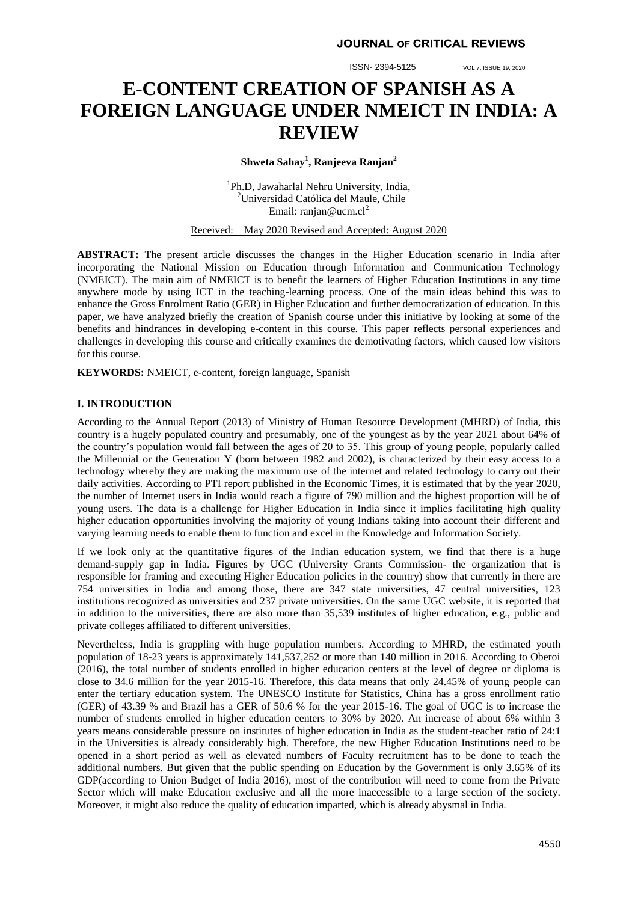ISSN- 2394-5125 VOL 7, ISSUE 19, 2020

# **E-CONTENT CREATION OF SPANISH AS A FOREIGN LANGUAGE UNDER NMEICT IN INDIA: A REVIEW**

**Shweta Sahay<sup>1</sup> , Ranjeeva Ranjan<sup>2</sup>**

<sup>1</sup>Ph.D, Jawaharlal Nehru University, India, <sup>2</sup>Universidad Católica del Maule, Chile Email: [ranjan@ucm.cl](mailto:ranjan@ucm.cl)<sup>2</sup>

Received: May 2020 Revised and Accepted: August 2020

**ABSTRACT:** The present article discusses the changes in the Higher Education scenario in India after incorporating the National Mission on Education through Information and Communication Technology (NMEICT). The main aim of NMEICT is to benefit the learners of Higher Education Institutions in any time anywhere mode by using ICT in the teaching-learning process. One of the main ideas behind this was to enhance the Gross Enrolment Ratio (GER) in Higher Education and further democratization of education. In this paper, we have analyzed briefly the creation of Spanish course under this initiative by looking at some of the benefits and hindrances in developing e-content in this course. This paper reflects personal experiences and challenges in developing this course and critically examines the demotivating factors, which caused low visitors for this course.

**KEYWORDS:** NMEICT, e-content, foreign language, Spanish

## **I. INTRODUCTION**

According to the Annual Report (2013) of Ministry of Human Resource Development (MHRD) of India, this country is a hugely populated country and presumably, one of the youngest as by the year 2021 about 64% of the country's population would fall between the ages of 20 to 35. This group of young people, popularly called the Millennial or the Generation Y (born between 1982 and 2002), is characterized by their easy access to a technology whereby they are making the maximum use of the internet and related technology to carry out their daily activities. According to PTI report published in the Economic Times, it is estimated that by the year 2020, the number of Internet users in India would reach a figure of 790 million and the highest proportion will be of young users. The data is a challenge for Higher Education in India since it implies facilitating high quality higher education opportunities involving the majority of young Indians taking into account their different and varying learning needs to enable them to function and excel in the Knowledge and Information Society.

If we look only at the quantitative figures of the Indian education system, we find that there is a huge demand-supply gap in India. Figures by UGC (University Grants Commission- the organization that is responsible for framing and executing Higher Education policies in the country) show that currently in there are 754 universities in India and among those, there are 347 state universities, 47 central universities, 123 institutions recognized as universities and 237 private universities. On the same UGC website, it is reported that in addition to the universities, there are also more than 35,539 institutes of higher education, e.g., public and private colleges affiliated to different universities.

Nevertheless, India is grappling with huge population numbers. According to MHRD, the estimated youth population of 18-23 years is approximately 141,537,252 or more than 140 million in 2016. According to Oberoi (2016), the total number of students enrolled in higher education centers at the level of degree or diploma is close to 34.6 million for the year 2015-16. Therefore, this data means that only 24.45% of young people can enter the tertiary education system. The UNESCO Institute for Statistics, China has a gross enrollment ratio (GER) of 43.39 % and Brazil has a GER of 50.6 % for the year 2015-16. The goal of UGC is to increase the number of students enrolled in higher education centers to 30% by 2020. An increase of about 6% within 3 years means considerable pressure on institutes of higher education in India as the student-teacher ratio of 24:1 in the Universities is already considerably high. Therefore, the new Higher Education Institutions need to be opened in a short period as well as elevated numbers of Faculty recruitment has to be done to teach the additional numbers. But given that the public spending on Education by the Government is only 3.65% of its GDP(according to Union Budget of India 2016), most of the contribution will need to come from the Private Sector which will make Education exclusive and all the more inaccessible to a large section of the society. Moreover, it might also reduce the quality of education imparted, which is already abysmal in India.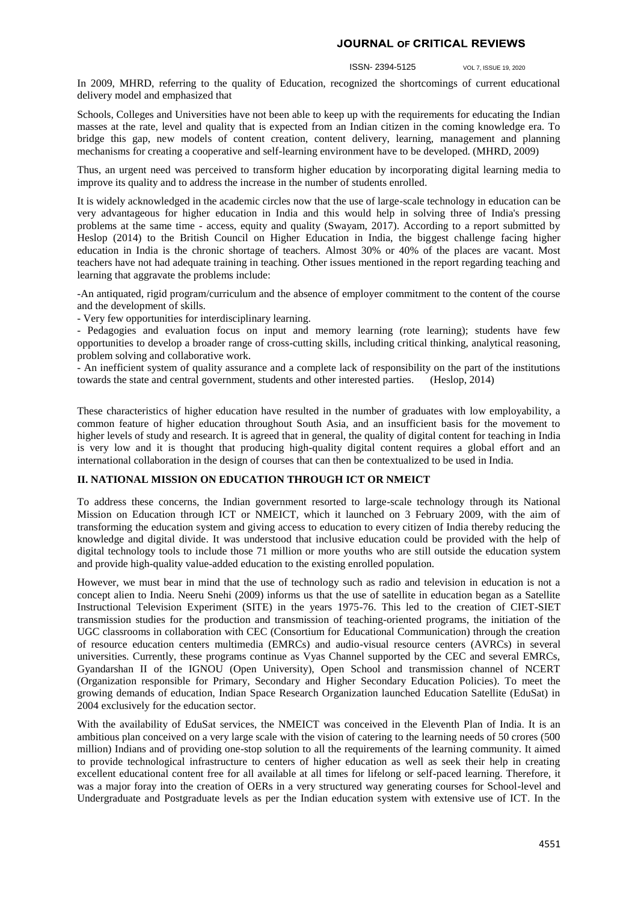#### ISSN- 2394-5125 VOL 7, ISSUE 19, 2020

In 2009, MHRD, referring to the quality of Education, recognized the shortcomings of current educational delivery model and emphasized that

Schools, Colleges and Universities have not been able to keep up with the requirements for educating the Indian masses at the rate, level and quality that is expected from an Indian citizen in the coming knowledge era. To bridge this gap, new models of content creation, content delivery, learning, management and planning mechanisms for creating a cooperative and self-learning environment have to be developed. (MHRD, 2009)

Thus, an urgent need was perceived to transform higher education by incorporating digital learning media to improve its quality and to address the increase in the number of students enrolled.

It is widely acknowledged in the academic circles now that the use of large-scale technology in education can be very advantageous for higher education in India and this would help in solving three of India's pressing problems at the same time - access, equity and quality (Swayam, 2017). According to a report submitted by Heslop (2014) to the British Council on Higher Education in India, the biggest challenge facing higher education in India is the chronic shortage of teachers. Almost 30% or 40% of the places are vacant. Most teachers have not had adequate training in teaching. Other issues mentioned in the report regarding teaching and learning that aggravate the problems include:

-An antiquated, rigid program/curriculum and the absence of employer commitment to the content of the course and the development of skills.

- Very few opportunities for interdisciplinary learning.

- Pedagogies and evaluation focus on input and memory learning (rote learning); students have few opportunities to develop a broader range of cross-cutting skills, including critical thinking, analytical reasoning, problem solving and collaborative work.

- An inefficient system of quality assurance and a complete lack of responsibility on the part of the institutions towards the state and central government, students and other interested parties. (Heslop, 2014)

These characteristics of higher education have resulted in the number of graduates with low employability, a common feature of higher education throughout South Asia, and an insufficient basis for the movement to higher levels of study and research. It is agreed that in general, the quality of digital content for teaching in India is very low and it is thought that producing high-quality digital content requires a global effort and an international collaboration in the design of courses that can then be contextualized to be used in India.

## **II. NATIONAL MISSION ON EDUCATION THROUGH ICT OR NMEICT**

To address these concerns, the Indian government resorted to large-scale technology through its National Mission on Education through ICT or NMEICT, which it launched on 3 February 2009, with the aim of transforming the education system and giving access to education to every citizen of India thereby reducing the knowledge and digital divide. It was understood that inclusive education could be provided with the help of digital technology tools to include those 71 million or more youths who are still outside the education system and provide high-quality value-added education to the existing enrolled population.

However, we must bear in mind that the use of technology such as radio and television in education is not a concept alien to India. Neeru Snehi (2009) informs us that the use of satellite in education began as a Satellite Instructional Television Experiment (SITE) in the years 1975-76. This led to the creation of CIET-SIET transmission studies for the production and transmission of teaching-oriented programs, the initiation of the UGC classrooms in collaboration with CEC (Consortium for Educational Communication) through the creation of resource education centers multimedia (EMRCs) and audio-visual resource centers (AVRCs) in several universities. Currently, these programs continue as Vyas Channel supported by the CEC and several EMRCs, Gyandarshan II of the IGNOU (Open University), Open School and transmission channel of NCERT (Organization responsible for Primary, Secondary and Higher Secondary Education Policies). To meet the growing demands of education, Indian Space Research Organization launched Education Satellite (EduSat) in 2004 exclusively for the education sector.

With the availability of EduSat services, the NMEICT was conceived in the Eleventh Plan of India. It is an ambitious plan conceived on a very large scale with the vision of catering to the learning needs of 50 crores (500 million) Indians and of providing one-stop solution to all the requirements of the learning community. It aimed to provide technological infrastructure to centers of higher education as well as seek their help in creating excellent educational content free for all available at all times for lifelong or self-paced learning. Therefore, it was a major foray into the creation of OERs in a very structured way generating courses for School-level and Undergraduate and Postgraduate levels as per the Indian education system with extensive use of ICT. In the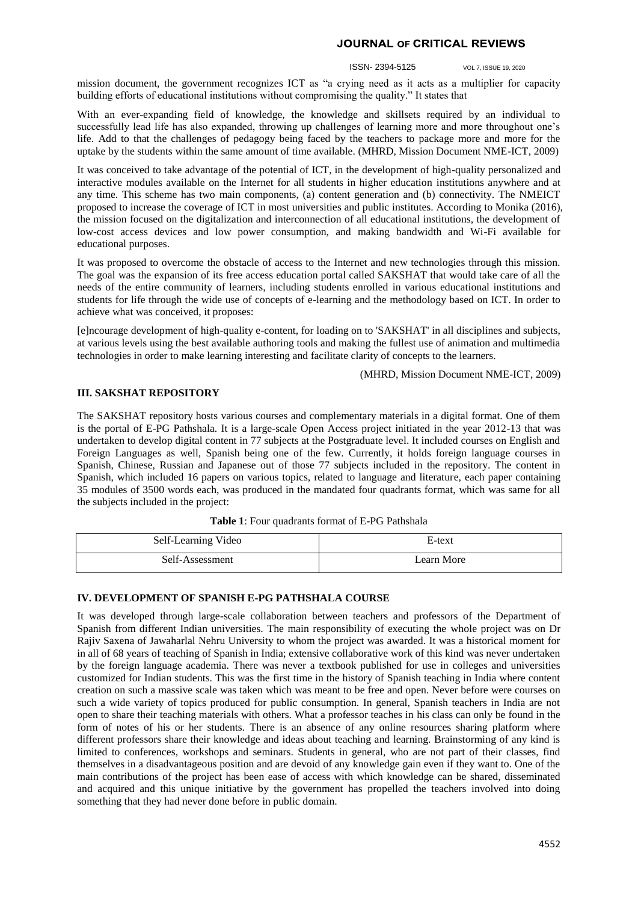#### ISSN- 2394-5125 VOL 7, ISSUE 19, 2020

mission document, the government recognizes ICT as "a crying need as it acts as a multiplier for capacity building efforts of educational institutions without compromising the quality." It states that

With an ever-expanding field of knowledge, the knowledge and skillsets required by an individual to successfully lead life has also expanded, throwing up challenges of learning more and more throughout one's life. Add to that the challenges of pedagogy being faced by the teachers to package more and more for the uptake by the students within the same amount of time available. (MHRD, Mission Document NME-ICT, 2009)

It was conceived to take advantage of the potential of ICT, in the development of high-quality personalized and interactive modules available on the Internet for all students in higher education institutions anywhere and at any time. This scheme has two main components, (a) content generation and (b) connectivity. The NMEICT proposed to increase the coverage of ICT in most universities and public institutes. According to Monika (2016), the mission focused on the digitalization and interconnection of all educational institutions, the development of low-cost access devices and low power consumption, and making bandwidth and Wi-Fi available for educational purposes.

It was proposed to overcome the obstacle of access to the Internet and new technologies through this mission. The goal was the expansion of its free access education portal called SAKSHAT that would take care of all the needs of the entire community of learners, including students enrolled in various educational institutions and students for life through the wide use of concepts of e-learning and the methodology based on ICT. In order to achieve what was conceived, it proposes:

[e]ncourage development of high-quality e-content, for loading on to 'SAKSHAT' in all disciplines and subjects, at various levels using the best available authoring tools and making the fullest use of animation and multimedia technologies in order to make learning interesting and facilitate clarity of concepts to the learners.

(MHRD, Mission Document NME-ICT, 2009)

## **III. SAKSHAT REPOSITORY**

The SAKSHAT repository hosts various courses and complementary materials in a digital format. One of them is the portal of E-PG Pathshala. It is a large-scale Open Access project initiated in the year 2012-13 that was undertaken to develop digital content in 77 subjects at the Postgraduate level. It included courses on English and Foreign Languages as well, Spanish being one of the few. Currently, it holds foreign language courses in Spanish, Chinese, Russian and Japanese out of those 77 subjects included in the repository. The content in Spanish, which included 16 papers on various topics, related to language and literature, each paper containing 35 modules of 3500 words each, was produced in the mandated four quadrants format, which was same for all the subjects included in the project:

**Table 1**: Four quadrants format of E-PG Pathshala

| Self-Learning Video | E-text     |
|---------------------|------------|
| Self-Assessment     | Learn More |

#### **IV. DEVELOPMENT OF SPANISH E-PG PATHSHALA COURSE**

It was developed through large-scale collaboration between teachers and professors of the Department of Spanish from different Indian universities. The main responsibility of executing the whole project was on Dr Rajiv Saxena of Jawaharlal Nehru University to whom the project was awarded. It was a historical moment for in all of 68 years of teaching of Spanish in India; extensive collaborative work of this kind was never undertaken by the foreign language academia. There was never a textbook published for use in colleges and universities customized for Indian students. This was the first time in the history of Spanish teaching in India where content creation on such a massive scale was taken which was meant to be free and open. Never before were courses on such a wide variety of topics produced for public consumption. In general, Spanish teachers in India are not open to share their teaching materials with others. What a professor teaches in his class can only be found in the form of notes of his or her students. There is an absence of any online resources sharing platform where different professors share their knowledge and ideas about teaching and learning. Brainstorming of any kind is limited to conferences, workshops and seminars. Students in general, who are not part of their classes, find themselves in a disadvantageous position and are devoid of any knowledge gain even if they want to. One of the main contributions of the project has been ease of access with which knowledge can be shared, disseminated and acquired and this unique initiative by the government has propelled the teachers involved into doing something that they had never done before in public domain.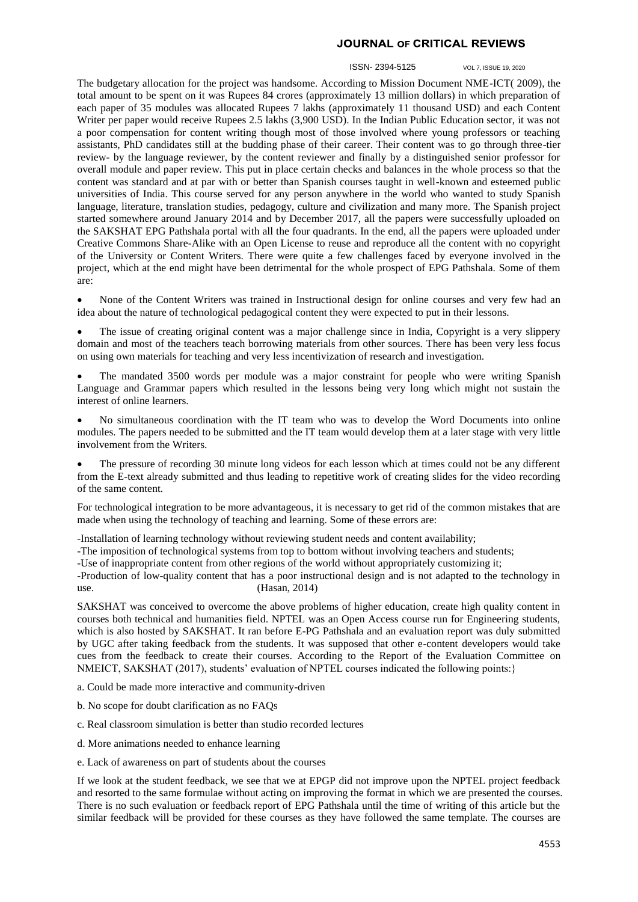#### ISSN- 2394-5125 VOL 7, ISSUE 19, 2020

The budgetary allocation for the project was handsome. According to Mission Document NME-ICT( 2009), the total amount to be spent on it was Rupees 84 crores (approximately 13 million dollars) in which preparation of each paper of 35 modules was allocated Rupees 7 lakhs (approximately 11 thousand USD) and each Content Writer per paper would receive Rupees 2.5 lakhs (3,900 USD). In the Indian Public Education sector, it was not a poor compensation for content writing though most of those involved where young professors or teaching assistants, PhD candidates still at the budding phase of their career. Their content was to go through three-tier review- by the language reviewer, by the content reviewer and finally by a distinguished senior professor for overall module and paper review. This put in place certain checks and balances in the whole process so that the content was standard and at par with or better than Spanish courses taught in well-known and esteemed public universities of India. This course served for any person anywhere in the world who wanted to study Spanish language, literature, translation studies, pedagogy, culture and civilization and many more. The Spanish project started somewhere around January 2014 and by December 2017, all the papers were successfully uploaded on the SAKSHAT EPG Pathshala portal with all the four quadrants. In the end, all the papers were uploaded under Creative Commons Share-Alike with an Open License to reuse and reproduce all the content with no copyright of the University or Content Writers. There were quite a few challenges faced by everyone involved in the project, which at the end might have been detrimental for the whole prospect of EPG Pathshala. Some of them are:

 None of the Content Writers was trained in Instructional design for online courses and very few had an idea about the nature of technological pedagogical content they were expected to put in their lessons.

 The issue of creating original content was a major challenge since in India, Copyright is a very slippery domain and most of the teachers teach borrowing materials from other sources. There has been very less focus on using own materials for teaching and very less incentivization of research and investigation.

 The mandated 3500 words per module was a major constraint for people who were writing Spanish Language and Grammar papers which resulted in the lessons being very long which might not sustain the interest of online learners.

 No simultaneous coordination with the IT team who was to develop the Word Documents into online modules. The papers needed to be submitted and the IT team would develop them at a later stage with very little involvement from the Writers.

 The pressure of recording 30 minute long videos for each lesson which at times could not be any different from the E-text already submitted and thus leading to repetitive work of creating slides for the video recording of the same content.

For technological integration to be more advantageous, it is necessary to get rid of the common mistakes that are made when using the technology of teaching and learning. Some of these errors are:

-Installation of learning technology without reviewing student needs and content availability;

-The imposition of technological systems from top to bottom without involving teachers and students;

-Use of inappropriate content from other regions of the world without appropriately customizing it;

-Production of low-quality content that has a poor instructional design and is not adapted to the technology in use. (Hasan, 2014)

SAKSHAT was conceived to overcome the above problems of higher education, create high quality content in courses both technical and humanities field. NPTEL was an Open Access course run for Engineering students, which is also hosted by SAKSHAT. It ran before E-PG Pathshala and an evaluation report was duly submitted by UGC after taking feedback from the students. It was supposed that other e-content developers would take cues from the feedback to create their courses. According to the Report of the Evaluation Committee on NMEICT, SAKSHAT (2017), students' evaluation of NPTEL courses indicated the following points:}

a. Could be made more interactive and community-driven

- b. No scope for doubt clarification as no FAQs
- c. Real classroom simulation is better than studio recorded lectures
- d. More animations needed to enhance learning
- e. Lack of awareness on part of students about the courses

If we look at the student feedback, we see that we at EPGP did not improve upon the NPTEL project feedback and resorted to the same formulae without acting on improving the format in which we are presented the courses. There is no such evaluation or feedback report of EPG Pathshala until the time of writing of this article but the similar feedback will be provided for these courses as they have followed the same template. The courses are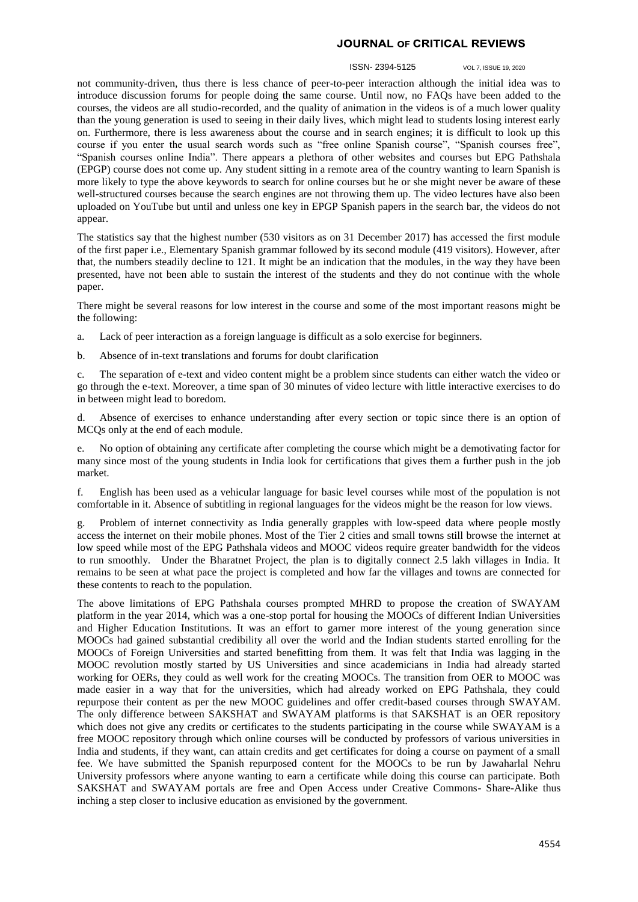#### ISSN- 2394-5125 VOL 7, ISSUE 19, 2020

not community-driven, thus there is less chance of peer-to-peer interaction although the initial idea was to introduce discussion forums for people doing the same course. Until now, no FAQs have been added to the courses, the videos are all studio-recorded, and the quality of animation in the videos is of a much lower quality than the young generation is used to seeing in their daily lives, which might lead to students losing interest early on. Furthermore, there is less awareness about the course and in search engines; it is difficult to look up this course if you enter the usual search words such as "free online Spanish course", "Spanish courses free", "Spanish courses online India". There appears a plethora of other websites and courses but EPG Pathshala (EPGP) course does not come up. Any student sitting in a remote area of the country wanting to learn Spanish is more likely to type the above keywords to search for online courses but he or she might never be aware of these well-structured courses because the search engines are not throwing them up. The video lectures have also been uploaded on YouTube but until and unless one key in EPGP Spanish papers in the search bar, the videos do not appear.

The statistics say that the highest number (530 visitors as on 31 December 2017) has accessed the first module of the first paper i.e., Elementary Spanish grammar followed by its second module (419 visitors). However, after that, the numbers steadily decline to 121. It might be an indication that the modules, in the way they have been presented, have not been able to sustain the interest of the students and they do not continue with the whole paper.

There might be several reasons for low interest in the course and some of the most important reasons might be the following:

- a. Lack of peer interaction as a foreign language is difficult as a solo exercise for beginners.
- b. Absence of in-text translations and forums for doubt clarification

c. The separation of e-text and video content might be a problem since students can either watch the video or go through the e-text. Moreover, a time span of 30 minutes of video lecture with little interactive exercises to do in between might lead to boredom.

d. Absence of exercises to enhance understanding after every section or topic since there is an option of MCQs only at the end of each module.

e. No option of obtaining any certificate after completing the course which might be a demotivating factor for many since most of the young students in India look for certifications that gives them a further push in the job market.

f. English has been used as a vehicular language for basic level courses while most of the population is not comfortable in it. Absence of subtitling in regional languages for the videos might be the reason for low views.

g. Problem of internet connectivity as India generally grapples with low-speed data where people mostly access the internet on their mobile phones. Most of the Tier 2 cities and small towns still browse the internet at low speed while most of the EPG Pathshala videos and MOOC videos require greater bandwidth for the videos to run smoothly. Under the Bharatnet Project, the plan is to digitally connect 2.5 lakh villages in India. It remains to be seen at what pace the project is completed and how far the villages and towns are connected for these contents to reach to the population.

The above limitations of EPG Pathshala courses prompted MHRD to propose the creation of SWAYAM platform in the year 2014, which was a one-stop portal for housing the MOOCs of different Indian Universities and Higher Education Institutions. It was an effort to garner more interest of the young generation since MOOCs had gained substantial credibility all over the world and the Indian students started enrolling for the MOOCs of Foreign Universities and started benefitting from them. It was felt that India was lagging in the MOOC revolution mostly started by US Universities and since academicians in India had already started working for OERs, they could as well work for the creating MOOCs. The transition from OER to MOOC was made easier in a way that for the universities, which had already worked on EPG Pathshala, they could repurpose their content as per the new MOOC guidelines and offer credit-based courses through SWAYAM. The only difference between SAKSHAT and SWAYAM platforms is that SAKSHAT is an OER repository which does not give any credits or certificates to the students participating in the course while SWAYAM is a free MOOC repository through which online courses will be conducted by professors of various universities in India and students, if they want, can attain credits and get certificates for doing a course on payment of a small fee. We have submitted the Spanish repurposed content for the MOOCs to be run by Jawaharlal Nehru University professors where anyone wanting to earn a certificate while doing this course can participate. Both SAKSHAT and SWAYAM portals are free and Open Access under Creative Commons- Share-Alike thus inching a step closer to inclusive education as envisioned by the government.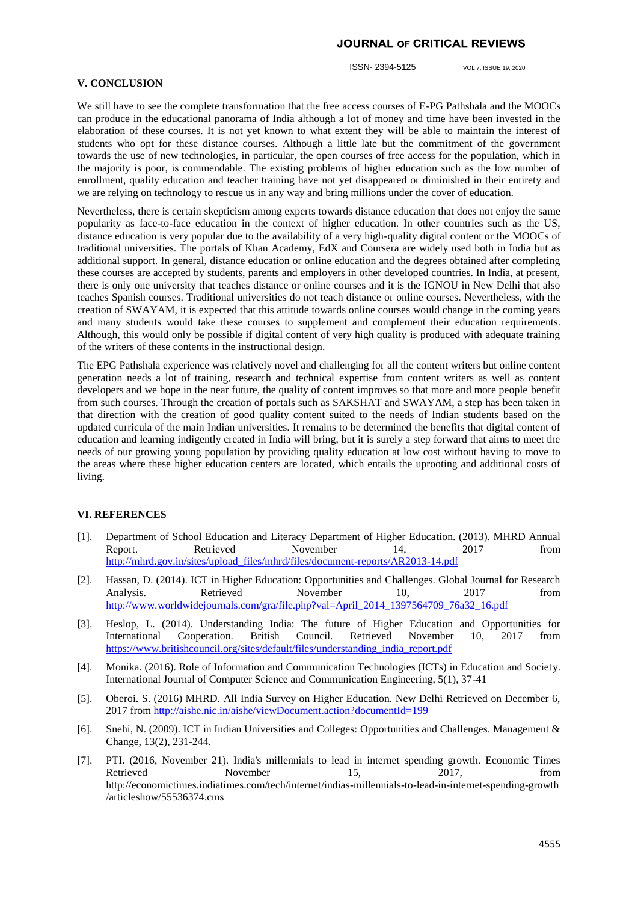ISSN- 2394-5125 VOL 7, ISSUE 19, 2020

## **V. CONCLUSION**

We still have to see the complete transformation that the free access courses of E-PG Pathshala and the MOOCs can produce in the educational panorama of India although a lot of money and time have been invested in the elaboration of these courses. It is not yet known to what extent they will be able to maintain the interest of students who opt for these distance courses. Although a little late but the commitment of the government towards the use of new technologies, in particular, the open courses of free access for the population, which in the majority is poor, is commendable. The existing problems of higher education such as the low number of enrollment, quality education and teacher training have not yet disappeared or diminished in their entirety and we are relying on technology to rescue us in any way and bring millions under the cover of education.

Nevertheless, there is certain skepticism among experts towards distance education that does not enjoy the same popularity as face-to-face education in the context of higher education. In other countries such as the US, distance education is very popular due to the availability of a very high-quality digital content or the MOOCs of traditional universities. The portals of Khan Academy, EdX and Coursera are widely used both in India but as additional support. In general, distance education or online education and the degrees obtained after completing these courses are accepted by students, parents and employers in other developed countries. In India, at present, there is only one university that teaches distance or online courses and it is the IGNOU in New Delhi that also teaches Spanish courses. Traditional universities do not teach distance or online courses. Nevertheless, with the creation of SWAYAM, it is expected that this attitude towards online courses would change in the coming years and many students would take these courses to supplement and complement their education requirements. Although, this would only be possible if digital content of very high quality is produced with adequate training of the writers of these contents in the instructional design.

The EPG Pathshala experience was relatively novel and challenging for all the content writers but online content generation needs a lot of training, research and technical expertise from content writers as well as content developers and we hope in the near future, the quality of content improves so that more and more people benefit from such courses. Through the creation of portals such as SAKSHAT and SWAYAM, a step has been taken in that direction with the creation of good quality content suited to the needs of Indian students based on the updated curricula of the main Indian universities. It remains to be determined the benefits that digital content of education and learning indigently created in India will bring, but it is surely a step forward that aims to meet the needs of our growing young population by providing quality education at low cost without having to move to the areas where these higher education centers are located, which entails the uprooting and additional costs of living.

## **VI. REFERENCES**

- [1]. Department of School Education and Literacy Department of Higher Education. (2013). MHRD Annual Report. Retrieved November 14, 2017 from [http://mhrd.gov.in/sites/upload\\_files/mhrd/files/document-reports/AR2013-14.pdf](http://mhrd.gov.in/sites/upload_files/mhrd/files/document-reports/AR2013-14.pdf)
- [2]. Hassan, D. (2014). ICT in Higher Education: Opportunities and Challenges. Global Journal for Research Analysis. Retrieved November 10, 2017 from [http://www.worldwidejournals.com/gra/file.php?val=April\\_2014\\_1397564709\\_76a32\\_16.pdf](http://www.worldwidejournals.com/gra/file.php?val=April_2014_1397564709_76a32_16.pdf)
- [3]. Heslop, L. (2014). Understanding India: The future of Higher Education and Opportunities for International Cooperation. British Council. Retrieved November 10, 2017 from [https://www.britishcouncil.org/sites/default/files/understanding\\_india\\_report.pdf](https://www.britishcouncil.org/sites/default/files/understanding_india_report.pdf)
- [4]. Monika. (2016). Role of Information and Communication Technologies (ICTs) in Education and Society. International Journal of Computer Science and Communication Engineering, 5(1), 37-41
- [5]. Oberoi. S. (2016) MHRD. All India Survey on Higher Education. New Delhi Retrieved on December 6, 2017 fro[m http://aishe.nic.in/aishe/viewDocument.action?documentId=199](http://aishe.nic.in/aishe/viewDocument.action?documentId=199)
- [6]. Snehi, N. (2009). ICT in Indian Universities and Colleges: Opportunities and Challenges. Management & Change, 13(2), 231-244.
- [7]. PTI. (2016, November 21). India's millennials to lead in internet spending growth. Economic Times Retrieved November 15, 2017, from http://economictimes.indiatimes.com/tech/internet/indias-millennials-to-lead-in-internet-spending-growth /articleshow/55536374.cms